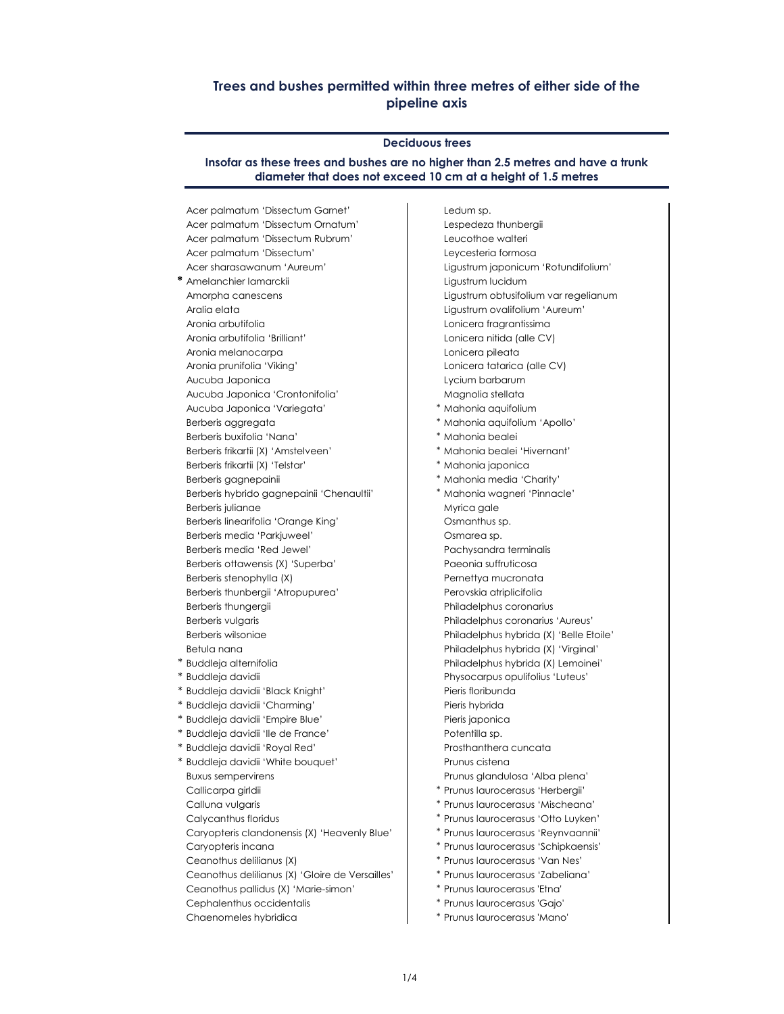# **Trees and bushes permitted within three metres of either side of the pipeline axis**

#### **Deciduous trees**

**Insofar as these trees and bushes are no higher than 2.5 metres and have a trunk diameter that does not exceed 10 cm at a height of 1.5 metres**

Acer palmatum 'Dissectum Garnet' Ledum sp. Acer palmatum 'Dissectum Ornatum' Lespedeza thunbergii Acer palmatum 'Dissectum Rubrum' Leucothoe walteri Acer palmatum 'Dissectum' Leycesteria formosa

- \* Amelanchier lamarckii **Ligustrum lucidum** Aralia elata Ligustrum ovalifolium 'Aureum' Aronia arbutifolia Lonicera fragrantissima Aronia arbutifolia 'Brilliant' Lonicera nitida (alle CV) Aronia melanocarpa Lonicera pileata Aronia prunifolia 'Viking' Lonicera tatarica (alle CV) Aucuba Japonica Lycium barbarum Aucuba Japonica 'Crontonifolia' Magnolia stellata Aucuba Japonica 'Variegata' \* Mahonia aquifolium Berberis aggregata \* \* Mahonia aquifolium 'Apollo' Berberis buxifolia 'Nana' \* \* \* \* \* \* Mahonia bealei Berberis frikartii (X) 'Amstelveen' \* Mahonia bealei 'Hivernant' Berberis frikartii (X) 'Telstar' \* \* Mahonia japonica Berberis gagnepainii eta alian arrangen alian arrangen arrangementa arrangementa arrangementa arrangementa arr Berberis hybrido gagnepainii 'Chenaultii' \* Mahonia wagneri 'Pinnacle' Berberis julianae Myrica gale Berberis linearifolia 'Orange King' New York Comanthus sp. Berberis media 'Parkjuweel' **Carry Community Community** Osmarea sp. Berberis media 'Red Jewel' Pachysandra terminalis Berberis ottawensis (X) 'Superba' Paeonia suffruticosa Berberis stenophylla (X) erhettya mucronata Berberis thunbergii 'Atropupurea' Perovskia atriplicifolia Berberis thungergii eta estatubatuaren eta erroria eta erroria eta erroria eta erroria eta erroria eta erroria
- 
- 
- 
- 
- 
- 
- \* Buddleja davidii 'White bouquet' Prunus cistena Buxus sempervirens **Provinces and Alba plena's provinces** Prunus glandulosa 'Alba plena' Callicarpa girldii \* Prunus laurocerasus 'Herbergii' Calluna vulgaris \* Prunus laurocerasus 'Mischeana' Ceanothus delilianus (X) \* Prunus laurocerasus 'Van Nes' Ceanothus delilianus (X) 'Gloire de Versailles' \* Prunus laurocerasus 'Zabeliana' Ceanothus pallidus (X) 'Marie-simon' \* Prunus laurocerasus 'Etna' Cephalenthus occidentalis \* Prunus laurocerasus 'Gajo'
	-

Acer sharasawanum 'Aureum' Ligustrum japonicum 'Rotundifolium' Amorpha canescens Ligustrum obtusifolium var regelianum Berberis vulgaris **Philadelphus coronarius 'Aureus'** Philadelphus coronarius 'Aureus' Berberis wilsoniae Philadelphus hybrida (X) 'Belle Etoile' Betula nana Philadelphus hybrida (X) 'Virginal' \* Buddleja alternifolia Philadelphus hybrida (X) Lemoinei' \* Buddleja davidii Physocarpus opulifolius 'Luteus' \* Buddleja davidii 'Black Knight' Pieris floribunda \* Buddleja davidii 'Charming' National Microsoft Pieris hybrida \* Buddleja davidii 'Empire Blue' National Pieris japonica \* Buddleja davidii 'Ile de France' Potentilla sp. \* Buddleja davidii 'Royal Red' Prosthanthera cuncata Calycanthus floridus \* Prunus laurocerasus 'Otto Luyken' Caryopteris clandonensis (X) 'Heavenly Blue' \* Prunus laurocerasus 'Reynvaannii' Caryopteris incana \* \* \* Prunus laurocerasus 'Schipkaensis'

Chaenomeles hybridica entity and the settlement of the temperature of the temperature of the Prunus laurocerasus 'Mano'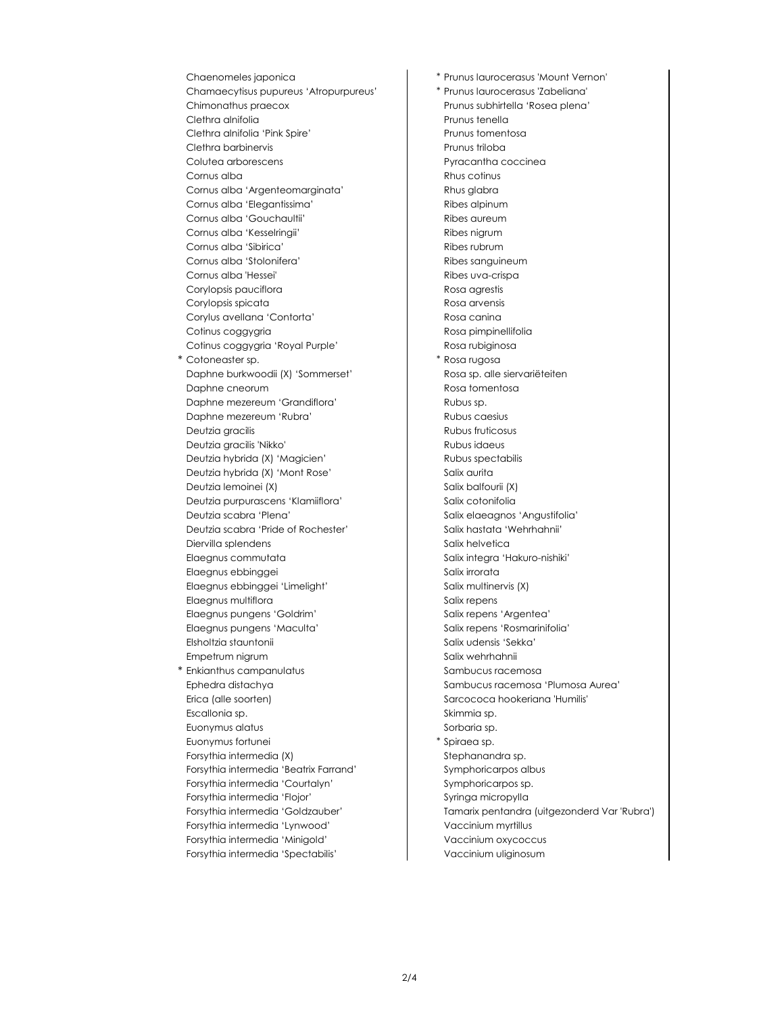Chaenomeles japonica **\*** Prunus laurocerasus 'Mount Vernon' Chamaecytisus pupureus 'Atropurpureus' \* Prunus laurocerasus 'Zabeliana' Chimonathus praecox Prunus subhirtella 'Rosea plena' Clethra alnifolia e controllation de la prunus tenella Clethra alnifolia 'Pink Spire' Prunus tomentosa Clethra barbinervis et al. 2003 and 2004 and 2010 and 2010 and 2010 and 2010 and 2010 and 2010 and 2010 and 20 Colutea arborescens **Pyracantha coccineal** Pyracantha coccinea Cornus alba Rhus cotinus and Rhus cotinus Rhus cotinus Cornus alba 'Argenteomarginata' Rhus glabra Cornus alba 'Elegantissima' 
and the Ribes alpinum Cornus alba 'Gouchaultii' and a cornus alba aureum Cornus alba 'Kesselringii' Ribes nigrum Cornus alba 'Sibirica' and alba cornus alba 'Sibirica' and alba cornus alba cornus alba cornus alba cornus alba cornus alba cornus alba cornus alba cornus alba cornus alba cornus alba cornus alba cornus alba cornus alba co Cornus alba 'Stolonifera' Ribes sanguineum Cornus alba 'Hessei' Ribes uva-crispa Corylopsis pauciflora and a coronal correction and a Rosa agrestis Corylopsis spicata **Rosa** arvensis Corylus avellana 'Contorta' 
and a Rosa canina Cotinus coggygria **Rosa** Rosa pimpinellifolia Cotinus coggygria 'Royal Purple' | Rosa rubiginosa \* Cotoneaster sp. \* Rosa rugosa Daphne burkwoodii (X) 'Sommerset' Rosa sp. alle siervariëteiten Daphne cneorum and a state of the Rosa tomentosa Daphne mezereum 'Grandiflora' and a Rubus sp. Daphne mezereum 'Rubra' Rubus caesius Deutzia gracilis and a control of the Rubus fruticosus Rubus fruticosus Deutzia gracilis 'Nikko' and a controller controller and a Rubus idaeus Deutzia hybrida (X) 'Magicien' 
and a controller and a Rubus spectabilis Deutzia hybrida (X) 'Mont Rose' Salix aurita Deutzia lemoinei (X) Salix balfourii (X) Deutzia purpurascens 'Klamiiflora' Salix cotonifolia Deutzia scabra 'Plena' Salix elaeagnos 'Angustifolia' Deutzia scabra 'Pride of Rochester' Salix hastata 'Wehrhahnii' Diervilla splendens Salix helvetica Elaegnus commutata salix integra 'Hakuro-nishiki' Elaegnus ebbinggei Salix irrorata Elaegnus ebbinggei 'Limelight' Salix multinervis (X) Elaegnus multiflora et al. et al. et al. et al. et al. et al. et al. et al. et al. et al. et al. et al. et al. Elaegnus pungens 'Goldrim' states of the Salix repens 'Argentea' Elaegnus pungens 'Maculta' Salix repens 'Rosmarinifolia' Elsholtzia stauntonii Salix udensis 'Sekka' Empetrum nigrum Salix wehrhahnii \* Enkianthus campanulatus sambucus racemosa Ephedra distachya Sambucus racemosa 'Plumosa Aurea' Erica (alle soorten) Sarcococa hookeriana 'Humilis' Escallonia sp. Skimmia sp. Skimmia sp. Euonymus alatus et al. et al. et al. et al. et al. et al. et al. et al. et al. et al. et al. et al. et al. et a Euonymus fortunei the second terms of the second terms of the second terms of the second terms of the second terms of the second terms of the second terms of the second terms of the second terms of the second terms of the Forsythia intermedia (X) Stephanandra sp. Forsythia intermedia 'Beatrix Farrand' Symphoricarpos albus Forsythia intermedia 'Courtalyn' Symphoricarpos sp. Forsythia intermedia 'Flojor' Syringa micropylla Forsythia intermedia 'Lynwood' Vaccinium myrtillus Forsythia intermedia 'Minigold' Vaccinium oxycoccus Forsythia intermedia 'Spectabilis' Vaccinium uliginosum

Forsythia intermedia 'Goldzauber' Tamarix pentandra (uitgezonderd Var 'Rubra')

 $\mathbf{I}$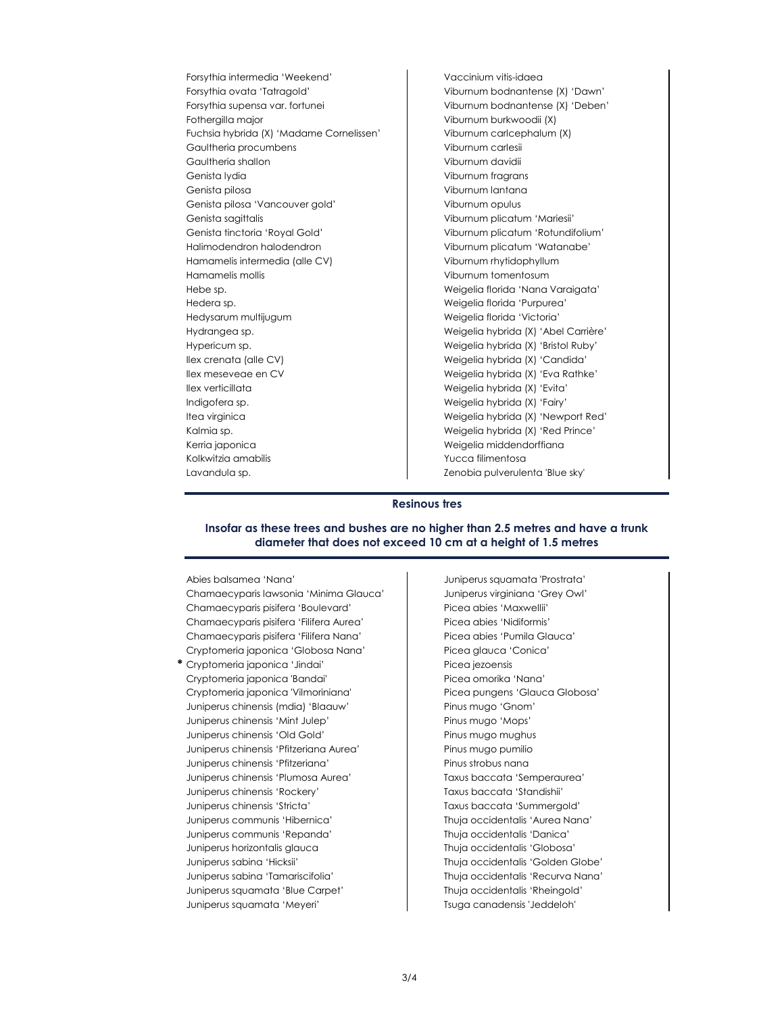Forsythia intermedia 'Weekend' Vaccinium vitis-idaea Forsythia ovata 'Tatragold' Viburnum bodnantense (X) 'Dawn' Forsythia supensa var. fortunei Viburnum bodnantense (X) 'Deben' Fothergilla major Viburnum burkwoodii (X) Fuchsia hybrida (X) 'Madame Cornelissen' Viburnum carlcephalum (X) Gaultheria procumbens Viburnum carlesii Gaultheria shallon Viburnum davidii Genista lydia Viburnum fragrans Genista pilosa Viburnum lantana Genista pilosa 'Vancouver gold' Viburnum opulus Genista sagittalis Viburnum plicatum 'Mariesii' Genista tinctoria 'Royal Gold' Viburnum plicatum 'Rotundifolium' Halimodendron halodendron Viburnum plicatum 'Watanabe' Hamamelis intermedia (alle CV) Viburnum rhytidophyllum Hamamelis mollis Viburnum tomentosum Hebe sp. Weigelia florida 'Nana Varaigata' Hedera sp. Weigelia florida 'Purpurea' Hedysarum multijugum Weigelia florida 'Victoria' Hydrangea sp. Weigelia hybrida (X) 'Abel Carrière' Hypericum sp. Weigelia hybrida (X) 'Bristol Ruby' Ilex crenata (alle CV) Weigelia hybrida (X) 'Candida' Ilex meseveae en CV Weigelia hybrida (X) 'Eva Rathke' Ilex verticillata Weigelia hybrida (X) 'Evita' Indigofera sp. Weigelia hybrida (X) 'Fairy' Itea virginica Weigelia hybrida (X) 'Newport Red' Kalmia sp. Weigelia hybrida (X) 'Red Prince' Kerria japonica www.wales.com weigelia middendorffiana Kolkwitzia amabilis XVIII et al. 2010 - Yucca filimentosa Lavandula sp. Zenobia pulverulenta 'Blue sky'

#### **Resinous tres**

### **Insofar as these trees and bushes are no higher than 2.5 metres and have a trunk diameter that does not exceed 10 cm at a height of 1.5 metres**

Abies balsamea 'Nana' Juniperus squamata 'Prostrata' Chamaecyparis lawsonia 'Minima Glauca' Juniperus virginiana 'Grey Owl' Chamaecyparis pisifera 'Boulevard' Picea abies 'Maxwellii' Chamaecyparis pisifera 'Filifera Aurea' Picea abies 'Nidiformis' Chamaecyparis pisifera 'Filifera Nana' Picea abies 'Pumila Glauca' Cryptomeria japonica 'Globosa Nana' Picea glauca 'Conica' **\*** Cryptomeria japonica 'Jindai' Picea jezoensis

Cryptomeria japonica 'Bandai' Picea omorika 'Nana' Cryptomeria japonica 'Vilmoriniana' Picea pungens 'Glauca Globosa' Juniperus chinensis (mdia) 'Blaauw' Pinus mugo 'Gnom' Juniperus chinensis 'Mint Julep' Pinus mugo 'Mops' Juniperus chinensis 'Old Gold' Pinus mugo mughus Juniperus chinensis 'Pfitzeriana Aurea' Pinus mugo pumilio Juniperus chinensis 'Pfitzeriana' Pinus strobus nana Juniperus chinensis 'Plumosa Aurea' Taxus baccata 'Semperaurea' Juniperus chinensis 'Rockery' Taxus baccata 'Standishii' Juniperus chinensis 'Stricta' Taxus baccata 'Summergold' Juniperus communis 'Hibernica' Thuja occidentalis 'Aurea Nana' Juniperus communis 'Repanda' Thuja occidentalis 'Danica' Juniperus horizontalis glauca Thuja occidentalis 'Globosa' Juniperus sabina 'Hicksii' Thuja occidentalis 'Golden Globe' Juniperus sabina 'Tamariscifolia' Thuja occidentalis 'Recurva Nana' Juniperus squamata 'Blue Carpet' Thuja occidentalis 'Rheingold' Juniperus squamata 'Meyeri' and a Tsuga canadensis 'Jeddeloh'